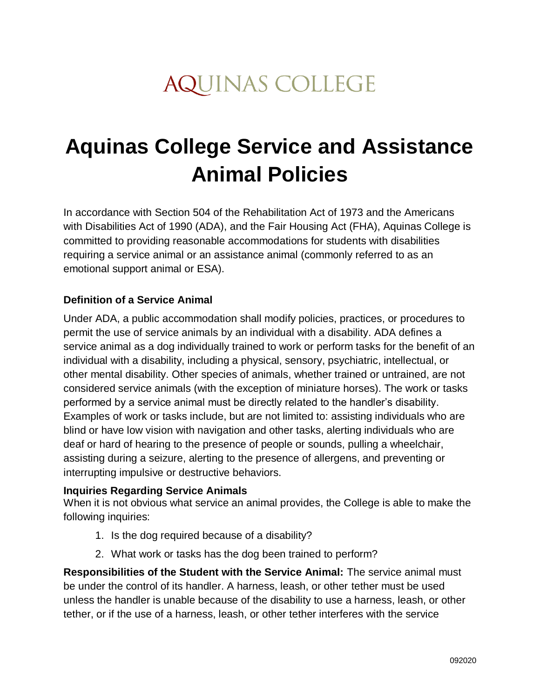# **AQUINAS COLLEGE**

# **Aquinas College Service and Assistance Animal Policies**

In accordance with Section 504 of the Rehabilitation Act of 1973 and the Americans with Disabilities Act of 1990 (ADA), and the Fair Housing Act (FHA), Aquinas College is committed to providing reasonable accommodations for students with disabilities requiring a service animal or an assistance animal (commonly referred to as an emotional support animal or ESA).

# **Definition of a Service Animal**

Under ADA, a public accommodation shall modify policies, practices, or procedures to permit the use of service animals by an individual with a disability. ADA defines a service animal as a dog individually trained to work or perform tasks for the benefit of an individual with a disability, including a physical, sensory, psychiatric, intellectual, or other mental disability. Other species of animals, whether trained or untrained, are not considered service animals (with the exception of miniature horses). The work or tasks performed by a service animal must be directly related to the handler's disability. Examples of work or tasks include, but are not limited to: assisting individuals who are blind or have low vision with navigation and other tasks, alerting individuals who are deaf or hard of hearing to the presence of people or sounds, pulling a wheelchair, assisting during a seizure, alerting to the presence of allergens, and preventing or interrupting impulsive or destructive behaviors.

#### **Inquiries Regarding Service Animals**

When it is not obvious what service an animal provides, the College is able to make the following inquiries:

- 1. Is the dog required because of a disability?
- 2. What work or tasks has the dog been trained to perform?

**Responsibilities of the Student with the Service Animal:** The service animal must be under the control of its handler. A harness, leash, or other tether must be used unless the handler is unable because of the disability to use a harness, leash, or other tether, or if the use of a harness, leash, or other tether interferes with the service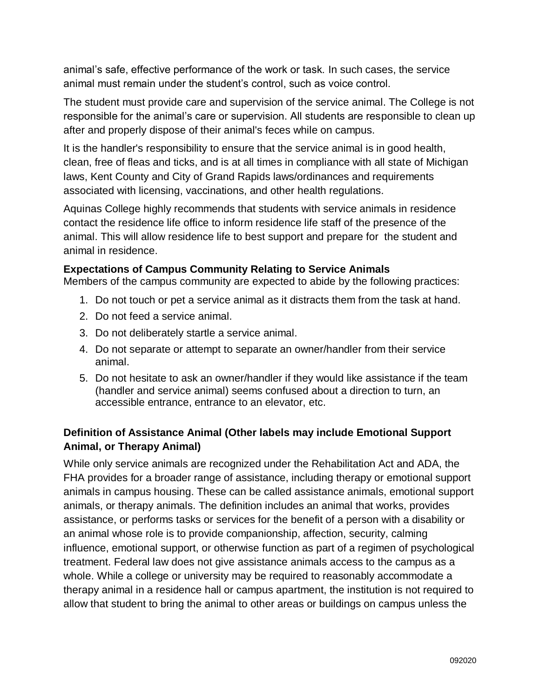animal's safe, effective performance of the work or task. In such cases, the service animal must remain under the student's control, such as voice control.

The student must provide care and supervision of the service animal. The College is not responsible for the animal's care or supervision. All students are responsible to clean up after and properly dispose of their animal's feces while on campus.

It is the handler's responsibility to ensure that the service animal is in good health, clean, free of fleas and ticks, and is at all times in compliance with all state of Michigan laws, Kent County and City of Grand Rapids laws/ordinances and requirements associated with licensing, vaccinations, and other health regulations.

Aquinas College highly recommends that students with service animals in residence contact the residence life office to inform residence life staff of the presence of the animal. This will allow residence life to best support and prepare for the student and animal in residence.

#### **Expectations of Campus Community Relating to Service Animals**

Members of the campus community are expected to abide by the following practices:

- 1. Do not touch or pet a service animal as it distracts them from the task at hand.
- 2. Do not feed a service animal.
- 3. Do not deliberately startle a service animal.
- 4. Do not separate or attempt to separate an owner/handler from their service animal.
- 5. Do not hesitate to ask an owner/handler if they would like assistance if the team (handler and service animal) seems confused about a direction to turn, an accessible entrance, entrance to an elevator, etc.

# **Definition of Assistance Animal (Other labels may include Emotional Support Animal, or Therapy Animal)**

While only service animals are recognized under the Rehabilitation Act and ADA, the FHA provides for a broader range of assistance, including therapy or emotional support animals in campus housing. These can be called assistance animals, emotional support animals, or therapy animals. The definition includes an animal that works, provides assistance, or performs tasks or services for the benefit of a person with a disability or an animal whose role is to provide companionship, affection, security, calming influence, emotional support, or otherwise function as part of a regimen of psychological treatment. Federal law does not give assistance animals access to the campus as a whole. While a college or university may be required to reasonably accommodate a therapy animal in a residence hall or campus apartment, the institution is not required to allow that student to bring the animal to other areas or buildings on campus unless the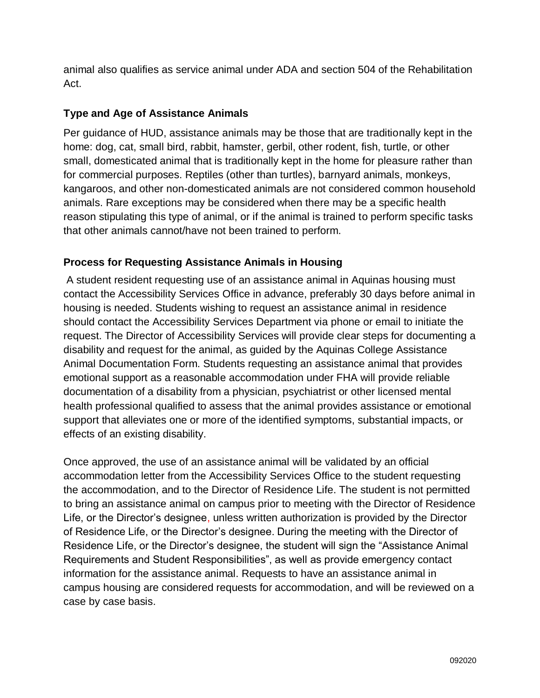animal also qualifies as service animal under ADA and section 504 of the Rehabilitation Act.

# **Type and Age of Assistance Animals**

Per guidance of HUD, assistance animals may be those that are traditionally kept in the home: dog, cat, small bird, rabbit, hamster, gerbil, other rodent, fish, turtle, or other small, domesticated animal that is traditionally kept in the home for pleasure rather than for commercial purposes. Reptiles (other than turtles), barnyard animals, monkeys, kangaroos, and other non-domesticated animals are not considered common household animals. Rare exceptions may be considered when there may be a specific health reason stipulating this type of animal, or if the animal is trained to perform specific tasks that other animals cannot/have not been trained to perform.

# **Process for Requesting Assistance Animals in Housing**

A student resident requesting use of an assistance animal in Aquinas housing must contact the Accessibility Services Office in advance, preferably 30 days before animal in housing is needed. Students wishing to request an assistance animal in residence should contact the Accessibility Services Department via phone or email to initiate the request. The Director of Accessibility Services will provide clear steps for documenting a disability and request for the animal, as guided by the Aquinas College Assistance Animal Documentation Form. Students requesting an assistance animal that provides emotional support as a reasonable accommodation under FHA will provide reliable documentation of a disability from a physician, psychiatrist or other licensed mental health professional qualified to assess that the animal provides assistance or emotional support that alleviates one or more of the identified symptoms, substantial impacts, or effects of an existing disability.

Once approved, the use of an assistance animal will be validated by an official accommodation letter from the Accessibility Services Office to the student requesting the accommodation, and to the Director of Residence Life. The student is not permitted to bring an assistance animal on campus prior to meeting with the Director of Residence Life, or the Director's designee, unless written authorization is provided by the Director of Residence Life, or the Director's designee. During the meeting with the Director of Residence Life, or the Director's designee, the student will sign the "Assistance Animal Requirements and Student Responsibilities", as well as provide emergency contact information for the assistance animal. Requests to have an assistance animal in campus housing are considered requests for accommodation, and will be reviewed on a case by case basis.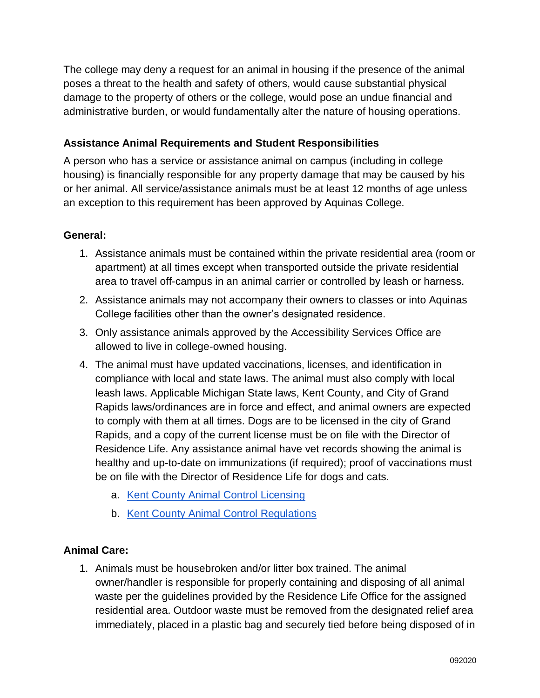The college may deny a request for an animal in housing if the presence of the animal poses a threat to the health and safety of others, would cause substantial physical damage to the property of others or the college, would pose an undue financial and administrative burden, or would fundamentally alter the nature of housing operations.

# **Assistance Animal Requirements and Student Responsibilities**

A person who has a service or assistance animal on campus (including in college housing) is financially responsible for any property damage that may be caused by his or her animal. All service/assistance animals must be at least 12 months of age unless an exception to this requirement has been approved by Aquinas College.

#### **General:**

- 1. Assistance animals must be contained within the private residential area (room or apartment) at all times except when transported outside the private residential area to travel off-campus in an animal carrier or controlled by leash or harness.
- 2. Assistance animals may not accompany their owners to classes or into Aquinas College facilities other than the owner's designated residence.
- 3. Only assistance animals approved by the Accessibility Services Office are allowed to live in college-owned housing.
- 4. The animal must have updated vaccinations, licenses, and identification in compliance with local and state laws. The animal must also comply with local leash laws. Applicable Michigan State laws, Kent County, and City of Grand Rapids laws/ordinances are in force and effect, and animal owners are expected to comply with them at all times. Dogs are to be licensed in the city of Grand Rapids, and a copy of the current license must be on file with the Director of Residence Life. Any assistance animal have vet records showing the animal is healthy and up-to-date on immunizations (if required); proof of vaccinations must be on file with the Director of Residence Life for dogs and cats.
	- a. [Kent County Animal Control Licensing](https://www.accesskent.com/Health/AnimalControl/licensing.htm)
	- b. [Kent County Animal Control Regulations](https://www.accesskent.com/Health/AnimalControl/pdfs/Animal_Control_Regulations.pdf)

# **Animal Care:**

1. Animals must be housebroken and/or litter box trained. The animal owner/handler is responsible for properly containing and disposing of all animal waste per the guidelines provided by the Residence Life Office for the assigned residential area. Outdoor waste must be removed from the designated relief area immediately, placed in a plastic bag and securely tied before being disposed of in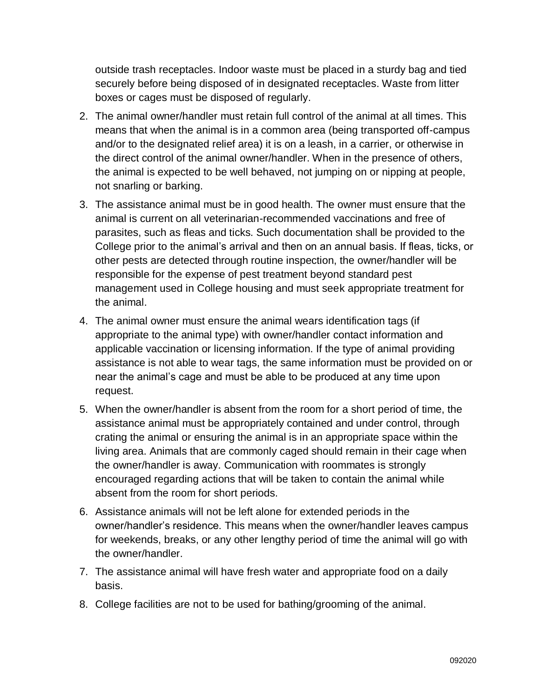outside trash receptacles. Indoor waste must be placed in a sturdy bag and tied securely before being disposed of in designated receptacles. Waste from litter boxes or cages must be disposed of regularly.

- 2. The animal owner/handler must retain full control of the animal at all times. This means that when the animal is in a common area (being transported off-campus and/or to the designated relief area) it is on a leash, in a carrier, or otherwise in the direct control of the animal owner/handler. When in the presence of others, the animal is expected to be well behaved, not jumping on or nipping at people, not snarling or barking.
- 3. The assistance animal must be in good health. The owner must ensure that the animal is current on all veterinarian-recommended vaccinations and free of parasites, such as fleas and ticks. Such documentation shall be provided to the College prior to the animal's arrival and then on an annual basis. If fleas, ticks, or other pests are detected through routine inspection, the owner/handler will be responsible for the expense of pest treatment beyond standard pest management used in College housing and must seek appropriate treatment for the animal.
- 4. The animal owner must ensure the animal wears identification tags (if appropriate to the animal type) with owner/handler contact information and applicable vaccination or licensing information. If the type of animal providing assistance is not able to wear tags, the same information must be provided on or near the animal's cage and must be able to be produced at any time upon request.
- 5. When the owner/handler is absent from the room for a short period of time, the assistance animal must be appropriately contained and under control, through crating the animal or ensuring the animal is in an appropriate space within the living area. Animals that are commonly caged should remain in their cage when the owner/handler is away. Communication with roommates is strongly encouraged regarding actions that will be taken to contain the animal while absent from the room for short periods.
- 6. Assistance animals will not be left alone for extended periods in the owner/handler's residence. This means when the owner/handler leaves campus for weekends, breaks, or any other lengthy period of time the animal will go with the owner/handler.
- 7. The assistance animal will have fresh water and appropriate food on a daily basis.
- 8. College facilities are not to be used for bathing/grooming of the animal.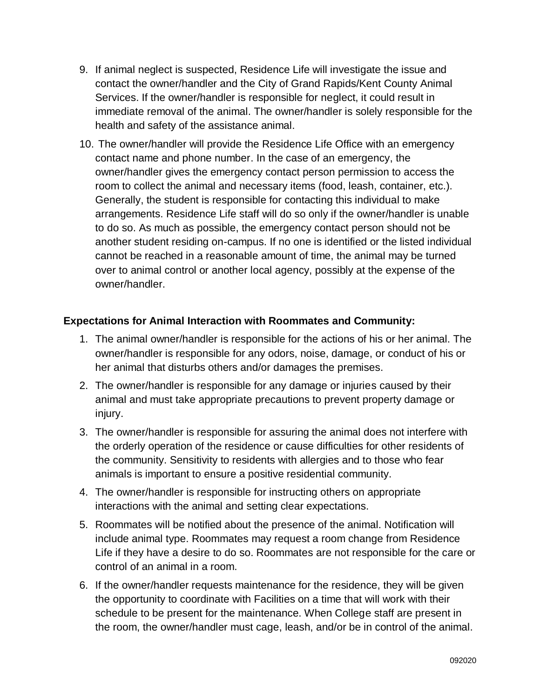- 9. If animal neglect is suspected, Residence Life will investigate the issue and contact the owner/handler and the City of Grand Rapids/Kent County Animal Services. If the owner/handler is responsible for neglect, it could result in immediate removal of the animal. The owner/handler is solely responsible for the health and safety of the assistance animal.
- 10. The owner/handler will provide the Residence Life Office with an emergency contact name and phone number. In the case of an emergency, the owner/handler gives the emergency contact person permission to access the room to collect the animal and necessary items (food, leash, container, etc.). Generally, the student is responsible for contacting this individual to make arrangements. Residence Life staff will do so only if the owner/handler is unable to do so. As much as possible, the emergency contact person should not be another student residing on-campus. If no one is identified or the listed individual cannot be reached in a reasonable amount of time, the animal may be turned over to animal control or another local agency, possibly at the expense of the owner/handler.

#### **Expectations for Animal Interaction with Roommates and Community:**

- 1. The animal owner/handler is responsible for the actions of his or her animal. The owner/handler is responsible for any odors, noise, damage, or conduct of his or her animal that disturbs others and/or damages the premises.
- 2. The owner/handler is responsible for any damage or injuries caused by their animal and must take appropriate precautions to prevent property damage or injury.
- 3. The owner/handler is responsible for assuring the animal does not interfere with the orderly operation of the residence or cause difficulties for other residents of the community. Sensitivity to residents with allergies and to those who fear animals is important to ensure a positive residential community.
- 4. The owner/handler is responsible for instructing others on appropriate interactions with the animal and setting clear expectations.
- 5. Roommates will be notified about the presence of the animal. Notification will include animal type. Roommates may request a room change from Residence Life if they have a desire to do so. Roommates are not responsible for the care or control of an animal in a room.
- 6. If the owner/handler requests maintenance for the residence, they will be given the opportunity to coordinate with Facilities on a time that will work with their schedule to be present for the maintenance. When College staff are present in the room, the owner/handler must cage, leash, and/or be in control of the animal.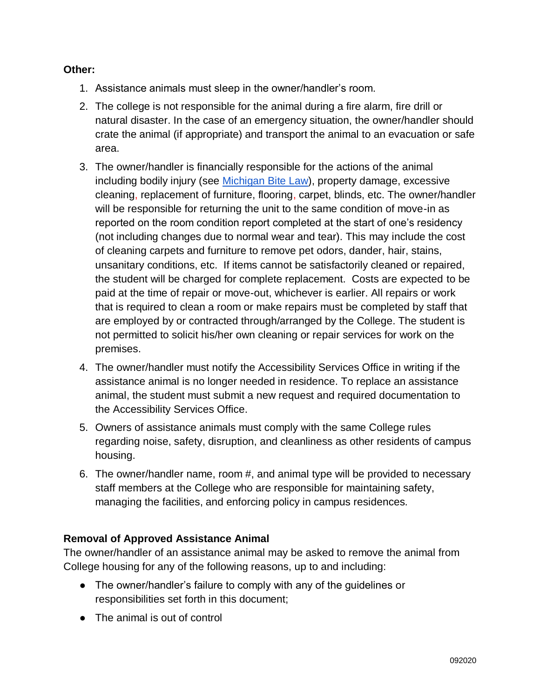#### **Other:**

- 1. Assistance animals must sleep in the owner/handler's room.
- 2. The college is not responsible for the animal during a fire alarm, fire drill or natural disaster. In the case of an emergency situation, the owner/handler should crate the animal (if appropriate) and transport the animal to an evacuation or safe area.
- 3. The owner/handler is financially responsible for the actions of the animal including bodily injury (see [Michigan Bite Law\)](http://www.legislature.mi.gov/(S(11x4z1je5q0i5oxbzh54dylt))/mileg.aspx?page=GetObject&objectname=mcl-287-351), property damage, excessive cleaning, replacement of furniture, flooring, carpet, blinds, etc. The owner/handler will be responsible for returning the unit to the same condition of move-in as reported on the room condition report completed at the start of one's residency (not including changes due to normal wear and tear). This may include the cost of cleaning carpets and furniture to remove pet odors, dander, hair, stains, unsanitary conditions, etc. If items cannot be satisfactorily cleaned or repaired, the student will be charged for complete replacement. Costs are expected to be paid at the time of repair or move-out, whichever is earlier. All repairs or work that is required to clean a room or make repairs must be completed by staff that are employed by or contracted through/arranged by the College. The student is not permitted to solicit his/her own cleaning or repair services for work on the premises.
- 4. The owner/handler must notify the Accessibility Services Office in writing if the assistance animal is no longer needed in residence. To replace an assistance animal, the student must submit a new request and required documentation to the Accessibility Services Office.
- 5. Owners of assistance animals must comply with the same College rules regarding noise, safety, disruption, and cleanliness as other residents of campus housing.
- 6. The owner/handler name, room #, and animal type will be provided to necessary staff members at the College who are responsible for maintaining safety, managing the facilities, and enforcing policy in campus residences.

# **Removal of Approved Assistance Animal**

The owner/handler of an assistance animal may be asked to remove the animal from College housing for any of the following reasons, up to and including:

- The owner/handler's failure to comply with any of the guidelines or responsibilities set forth in this document;
- The animal is out of control